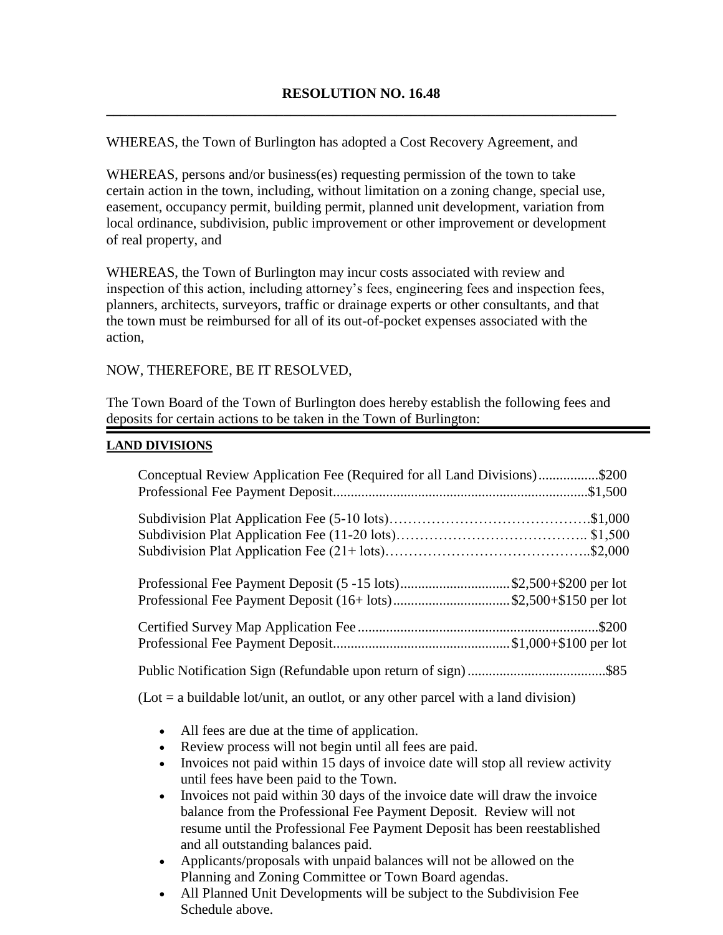WHEREAS, the Town of Burlington has adopted a Cost Recovery Agreement, and

WHEREAS, persons and/or business(es) requesting permission of the town to take certain action in the town, including, without limitation on a zoning change, special use, easement, occupancy permit, building permit, planned unit development, variation from local ordinance, subdivision, public improvement or other improvement or development of real property, and

WHEREAS, the Town of Burlington may incur costs associated with review and inspection of this action, including attorney's fees, engineering fees and inspection fees, planners, architects, surveyors, traffic or drainage experts or other consultants, and that the town must be reimbursed for all of its out-of-pocket expenses associated with the action,

NOW, THEREFORE, BE IT RESOLVED,

The Town Board of the Town of Burlington does hereby establish the following fees and deposits for certain actions to be taken in the Town of Burlington:

#### **LAND DIVISIONS**

| Conceptual Review Application Fee (Required for all Land Divisions)\$200                                                               |  |  |
|----------------------------------------------------------------------------------------------------------------------------------------|--|--|
|                                                                                                                                        |  |  |
| Professional Fee Payment Deposit (5 -15 lots)\$2,500+\$200 per lot<br>Professional Fee Payment Deposit (16+ lots)\$2,500+\$150 per lot |  |  |
|                                                                                                                                        |  |  |
|                                                                                                                                        |  |  |
| $(Lot = a buildable lot/unit, an outlot, or any other parcel with a land division)$                                                    |  |  |

- All fees are due at the time of application.
- Review process will not begin until all fees are paid.
- Invoices not paid within 15 days of invoice date will stop all review activity until fees have been paid to the Town.
- Invoices not paid within 30 days of the invoice date will draw the invoice balance from the Professional Fee Payment Deposit. Review will not resume until the Professional Fee Payment Deposit has been reestablished and all outstanding balances paid.
- Applicants/proposals with unpaid balances will not be allowed on the Planning and Zoning Committee or Town Board agendas.
- All Planned Unit Developments will be subject to the Subdivision Fee Schedule above.